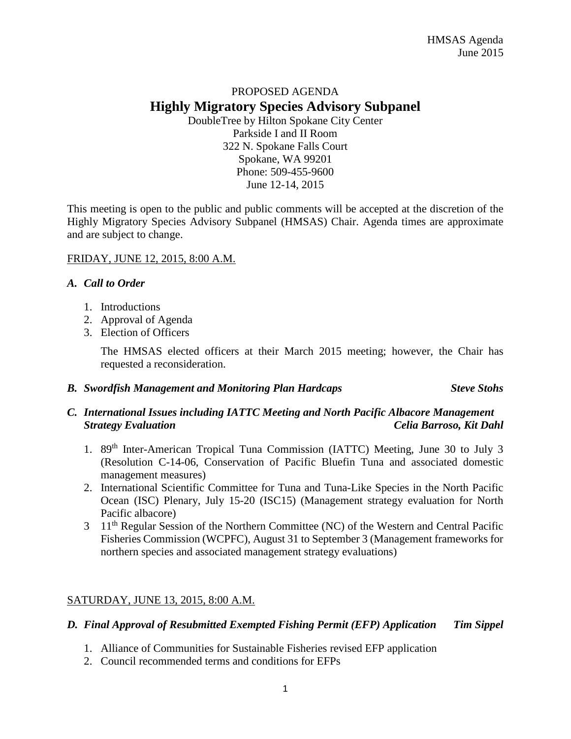# PROPOSED AGENDA **Highly Migratory Species Advisory Subpanel** DoubleTree by Hilton Spokane City Center

Parkside I and II Room 322 N. Spokane Falls Court Spokane, WA 99201 Phone: 509-455-9600 June 12-14, 2015

This meeting is open to the public and public comments will be accepted at the discretion of the Highly Migratory Species Advisory Subpanel (HMSAS) Chair. Agenda times are approximate and are subject to change.

## FRIDAY, JUNE 12, 2015, 8:00 A.M.

#### *A. Call to Order*

- 1. Introductions
- 2. Approval of Agenda
- 3. Election of Officers

The HMSAS elected officers at their March 2015 meeting; however, the Chair has requested a reconsideration.

#### *B. Swordfish Management and Monitoring Plan Hardcaps Steve Stohs*

## *C. International Issues including IATTC Meeting and North Pacific Albacore Management Strategy Evaluation Celia Barroso, Kit Dahl*

- 1. 89th Inter-American Tropical Tuna Commission (IATTC) Meeting, June 30 to July 3 (Resolution C-14-06, Conservation of Pacific Bluefin Tuna and associated domestic management measures)
- 2. International Scientific Committee for Tuna and Tuna-Like Species in the North Pacific Ocean (ISC) Plenary, July 15-20 (ISC15) (Management strategy evaluation for North Pacific albacore)
- 3 11<sup>th</sup> Regular Session of the Northern Committee (NC) of the Western and Central Pacific Fisheries Commission (WCPFC), August 31 to September 3 (Management frameworks for northern species and associated management strategy evaluations)

## SATURDAY, JUNE 13, 2015, 8:00 A.M.

## *D. Final Approval of Resubmitted Exempted Fishing Permit (EFP) Application Tim Sippel*

- 1. Alliance of Communities for Sustainable Fisheries revised EFP application
- 2. Council recommended terms and conditions for EFPs